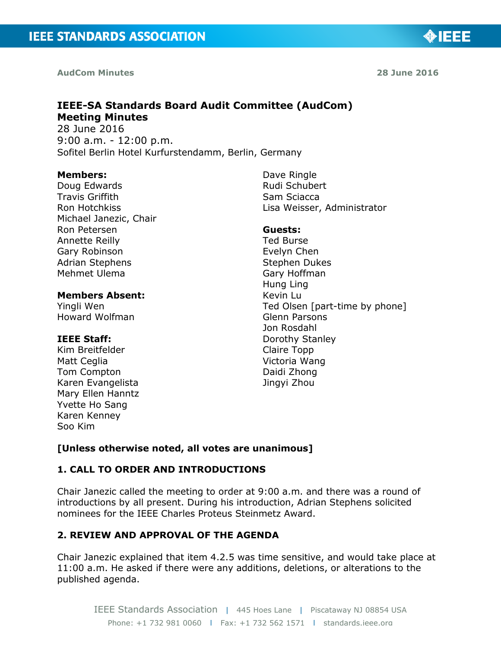**AudCom Minutes** 

# **IEEE-SA Standards Board Audit Committee (AudCom) Meeting Minutes**

28 June 2016 9:00 a.m. - 12:00 p.m. Sofitel Berlin Hotel Kurfurstendamm, Berlin, Germany

#### **Members:**

Doug Edwards Travis Griffith Ron Hotchkiss Michael Janezic, Chair Ron Petersen Annette Reilly Gary Robinson Adrian Stephens Mehmet Ulema

#### **Members Absent:**

Yingli Wen Howard Wolfman

### **IEEE Staff:**

Kim Breitfelder Matt Ceglia Tom Compton Karen Evangelista Mary Ellen Hanntz Yvette Ho Sang Karen Kenney Soo Kim

Dave Ringle Rudi Schubert Sam Sciacca Lisa Weisser, Administrator

# **Guests:**

Ted Burse Evelyn Chen Stephen Dukes Gary Hoffman Hung Ling Kevin Lu Ted Olsen [part-time by phone] Glenn Parsons Jon Rosdahl Dorothy Stanley Claire Topp Victoria Wang Daidi Zhong Jingyi Zhou

# **[Unless otherwise noted, all votes are unanimous]**

# **1. CALL TO ORDER AND INTRODUCTIONS**

Chair Janezic called the meeting to order at 9:00 a.m. and there was a round of introductions by all present. During his introduction, Adrian Stephens solicited nominees for the IEEE Charles Proteus Steinmetz Award.

# **2. REVIEW AND APPROVAL OF THE AGENDA**

Chair Janezic explained that item 4.2.5 was time sensitive, and would take place at 11:00 a.m. He asked if there were any additions, deletions, or alterations to the published agenda.

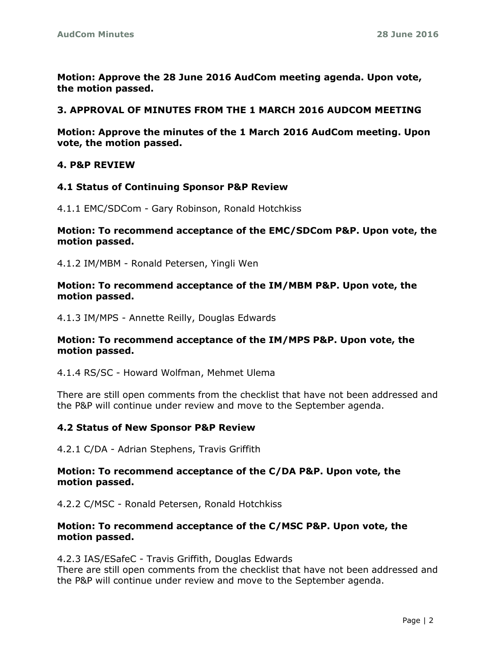**Motion: Approve the 28 June 2016 AudCom meeting agenda. Upon vote, the motion passed.**

#### **3. APPROVAL OF MINUTES FROM THE 1 MARCH 2016 AUDCOM MEETING**

**Motion: Approve the minutes of the 1 March 2016 AudCom meeting. Upon vote, the motion passed.**

#### **4. P&P REVIEW**

### **4.1 Status of Continuing Sponsor P&P Review**

4.1.1 EMC/SDCom - Gary Robinson, Ronald Hotchkiss

#### **Motion: To recommend acceptance of the EMC/SDCom P&P. Upon vote, the motion passed.**

4.1.2 IM/MBM - Ronald Petersen, Yingli Wen

#### **Motion: To recommend acceptance of the IM/MBM P&P. Upon vote, the motion passed.**

4.1.3 IM/MPS - Annette Reilly, Douglas Edwards

#### **Motion: To recommend acceptance of the IM/MPS P&P. Upon vote, the motion passed.**

4.1.4 RS/SC - Howard Wolfman, Mehmet Ulema

There are still open comments from the checklist that have not been addressed and the P&P will continue under review and move to the September agenda.

#### **4.2 Status of New Sponsor P&P Review**

4.2.1 C/DA - Adrian Stephens, Travis Griffith

#### **Motion: To recommend acceptance of the C/DA P&P. Upon vote, the motion passed.**

4.2.2 C/MSC - Ronald Petersen, Ronald Hotchkiss

#### **Motion: To recommend acceptance of the C/MSC P&P. Upon vote, the motion passed.**

4.2.3 IAS/ESafeC - Travis Griffith, Douglas Edwards

There are still open comments from the checklist that have not been addressed and the P&P will continue under review and move to the September agenda.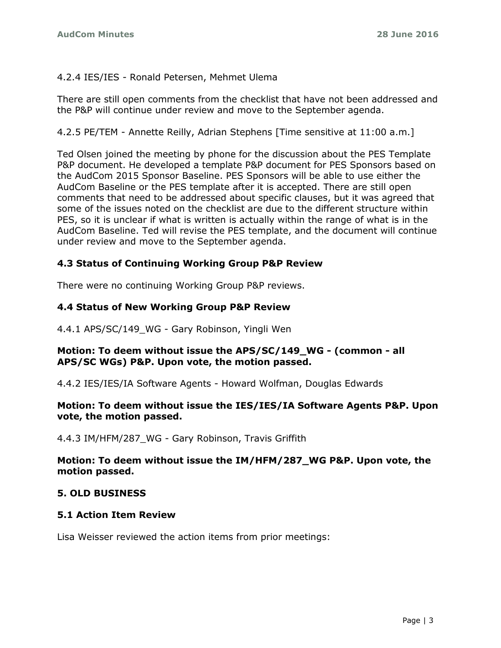### 4.2.4 IES/IES - Ronald Petersen, Mehmet Ulema

There are still open comments from the checklist that have not been addressed and the P&P will continue under review and move to the September agenda.

4.2.5 PE/TEM - Annette Reilly, Adrian Stephens [Time sensitive at 11:00 a.m.]

Ted Olsen joined the meeting by phone for the discussion about the PES Template P&P document. He developed a template P&P document for PES Sponsors based on the AudCom 2015 Sponsor Baseline. PES Sponsors will be able to use either the AudCom Baseline or the PES template after it is accepted. There are still open comments that need to be addressed about specific clauses, but it was agreed that some of the issues noted on the checklist are due to the different structure within PES, so it is unclear if what is written is actually within the range of what is in the AudCom Baseline. Ted will revise the PES template, and the document will continue under review and move to the September agenda.

# **4.3 Status of Continuing Working Group P&P Review**

There were no continuing Working Group P&P reviews.

#### **4.4 Status of New Working Group P&P Review**

4.4.1 APS/SC/149\_WG - Gary Robinson, Yingli Wen

#### **Motion: To deem without issue the APS/SC/149\_WG - (common - all APS/SC WGs) P&P. Upon vote, the motion passed.**

4.4.2 IES/IES/IA Software Agents - Howard Wolfman, Douglas Edwards

### **Motion: To deem without issue the IES/IES/IA Software Agents P&P. Upon vote, the motion passed.**

4.4.3 IM/HFM/287 WG - Gary Robinson, Travis Griffith

### **Motion: To deem without issue the IM/HFM/287\_WG P&P. Upon vote, the motion passed.**

#### **5. OLD BUSINESS**

#### **5.1 Action Item Review**

Lisa Weisser reviewed the action items from prior meetings: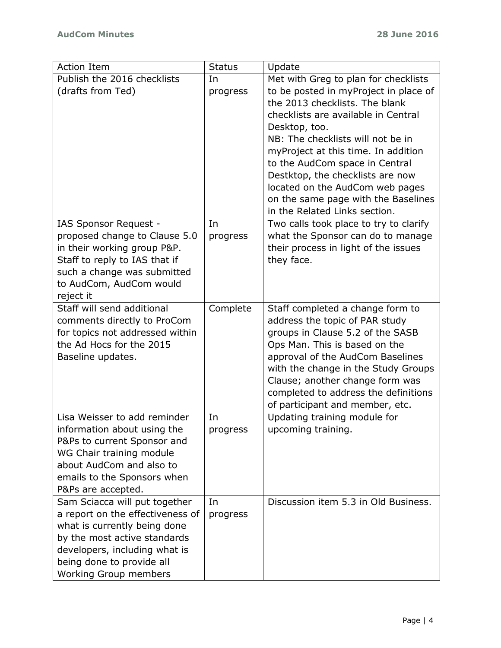| <b>Action Item</b>               | <b>Status</b> | Update                                 |
|----------------------------------|---------------|----------------------------------------|
| Publish the 2016 checklists      | In            | Met with Greg to plan for checklists   |
| (drafts from Ted)                | progress      | to be posted in myProject in place of  |
|                                  |               | the 2013 checklists. The blank         |
|                                  |               | checklists are available in Central    |
|                                  |               | Desktop, too.                          |
|                                  |               | NB: The checklists will not be in      |
|                                  |               | myProject at this time. In addition    |
|                                  |               | to the AudCom space in Central         |
|                                  |               | Destktop, the checklists are now       |
|                                  |               | located on the AudCom web pages        |
|                                  |               | on the same page with the Baselines    |
|                                  |               | in the Related Links section.          |
| IAS Sponsor Request -            | In            | Two calls took place to try to clarify |
| proposed change to Clause 5.0    | progress      | what the Sponsor can do to manage      |
| in their working group P&P.      |               | their process in light of the issues   |
| Staff to reply to IAS that if    |               | they face.                             |
| such a change was submitted      |               |                                        |
| to AudCom, AudCom would          |               |                                        |
| reject it                        |               |                                        |
| Staff will send additional       | Complete      | Staff completed a change form to       |
| comments directly to ProCom      |               | address the topic of PAR study         |
| for topics not addressed within  |               | groups in Clause 5.2 of the SASB       |
| the Ad Hocs for the 2015         |               | Ops Man. This is based on the          |
| Baseline updates.                |               | approval of the AudCom Baselines       |
|                                  |               | with the change in the Study Groups    |
|                                  |               | Clause; another change form was        |
|                                  |               | completed to address the definitions   |
|                                  |               | of participant and member, etc.        |
| Lisa Weisser to add reminder     | In            | Updating training module for           |
| information about using the      | progress      | upcoming training.                     |
| P&Ps to current Sponsor and      |               |                                        |
| WG Chair training module         |               |                                        |
| about AudCom and also to         |               |                                        |
| emails to the Sponsors when      |               |                                        |
| P&Ps are accepted.               |               |                                        |
| Sam Sciacca will put together    | In            | Discussion item 5.3 in Old Business.   |
| a report on the effectiveness of | progress      |                                        |
| what is currently being done     |               |                                        |
| by the most active standards     |               |                                        |
| developers, including what is    |               |                                        |
| being done to provide all        |               |                                        |
| <b>Working Group members</b>     |               |                                        |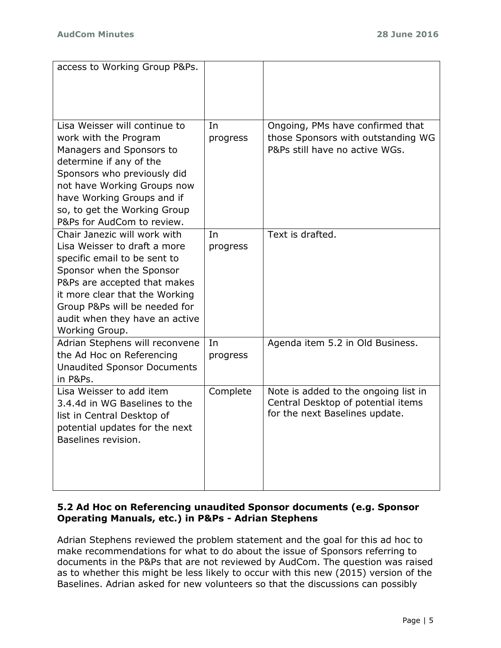| access to Working Group P&Ps.                                                                                                                                                                                                                                                   |                |                                                                                                              |
|---------------------------------------------------------------------------------------------------------------------------------------------------------------------------------------------------------------------------------------------------------------------------------|----------------|--------------------------------------------------------------------------------------------------------------|
| Lisa Weisser will continue to<br>work with the Program<br>Managers and Sponsors to<br>determine if any of the<br>Sponsors who previously did<br>not have Working Groups now<br>have Working Groups and if<br>so, to get the Working Group<br>P&Ps for AudCom to review.         | In<br>progress | Ongoing, PMs have confirmed that<br>those Sponsors with outstanding WG<br>P&Ps still have no active WGs.     |
| Chair Janezic will work with<br>Lisa Weisser to draft a more<br>specific email to be sent to<br>Sponsor when the Sponsor<br>P&Ps are accepted that makes<br>it more clear that the Working<br>Group P&Ps will be needed for<br>audit when they have an active<br>Working Group. | In<br>progress | Text is drafted.                                                                                             |
| Adrian Stephens will reconvene<br>the Ad Hoc on Referencing<br><b>Unaudited Sponsor Documents</b><br>in P&Ps.                                                                                                                                                                   | In<br>progress | Agenda item 5.2 in Old Business.                                                                             |
| Lisa Weisser to add item<br>3.4.4d in WG Baselines to the<br>list in Central Desktop of<br>potential updates for the next<br>Baselines revision.                                                                                                                                | Complete       | Note is added to the ongoing list in<br>Central Desktop of potential items<br>for the next Baselines update. |

# **5.2 Ad Hoc on Referencing unaudited Sponsor documents (e.g. Sponsor Operating Manuals, etc.) in P&Ps - Adrian Stephens**

Adrian Stephens reviewed the problem statement and the goal for this ad hoc to make recommendations for what to do about the issue of Sponsors referring to documents in the P&Ps that are not reviewed by AudCom. The question was raised as to whether this might be less likely to occur with this new (2015) version of the Baselines. Adrian asked for new volunteers so that the discussions can possibly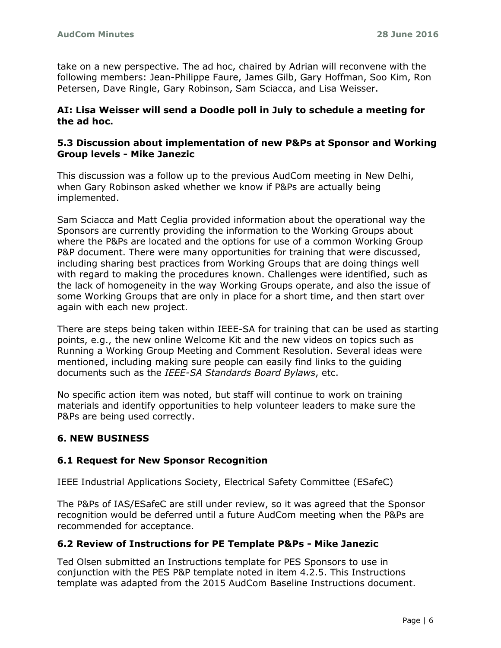take on a new perspective. The ad hoc, chaired by Adrian will reconvene with the following members: Jean-Philippe Faure, James Gilb, Gary Hoffman, Soo Kim, Ron Petersen, Dave Ringle, Gary Robinson, Sam Sciacca, and Lisa Weisser.

### **AI: Lisa Weisser will send a Doodle poll in July to schedule a meeting for the ad hoc.**

### **5.3 Discussion about implementation of new P&Ps at Sponsor and Working Group levels - Mike Janezic**

This discussion was a follow up to the previous AudCom meeting in New Delhi, when Gary Robinson asked whether we know if P&Ps are actually being implemented.

Sam Sciacca and Matt Ceglia provided information about the operational way the Sponsors are currently providing the information to the Working Groups about where the P&Ps are located and the options for use of a common Working Group P&P document. There were many opportunities for training that were discussed, including sharing best practices from Working Groups that are doing things well with regard to making the procedures known. Challenges were identified, such as the lack of homogeneity in the way Working Groups operate, and also the issue of some Working Groups that are only in place for a short time, and then start over again with each new project.

There are steps being taken within IEEE-SA for training that can be used as starting points, e.g., the new online Welcome Kit and the new videos on topics such as Running a Working Group Meeting and Comment Resolution. Several ideas were mentioned, including making sure people can easily find links to the guiding documents such as the *IEEE-SA Standards Board Bylaws*, etc.

No specific action item was noted, but staff will continue to work on training materials and identify opportunities to help volunteer leaders to make sure the P&Ps are being used correctly.

# **6. NEW BUSINESS**

# **6.1 Request for New Sponsor Recognition**

IEEE Industrial Applications Society, Electrical Safety Committee (ESafeC)

The P&Ps of IAS/ESafeC are still under review, so it was agreed that the Sponsor recognition would be deferred until a future AudCom meeting when the P&Ps are recommended for acceptance.

# **6.2 Review of Instructions for PE Template P&Ps - Mike Janezic**

Ted Olsen submitted an Instructions template for PES Sponsors to use in conjunction with the PES P&P template noted in item 4.2.5. This Instructions template was adapted from the 2015 AudCom Baseline Instructions document.